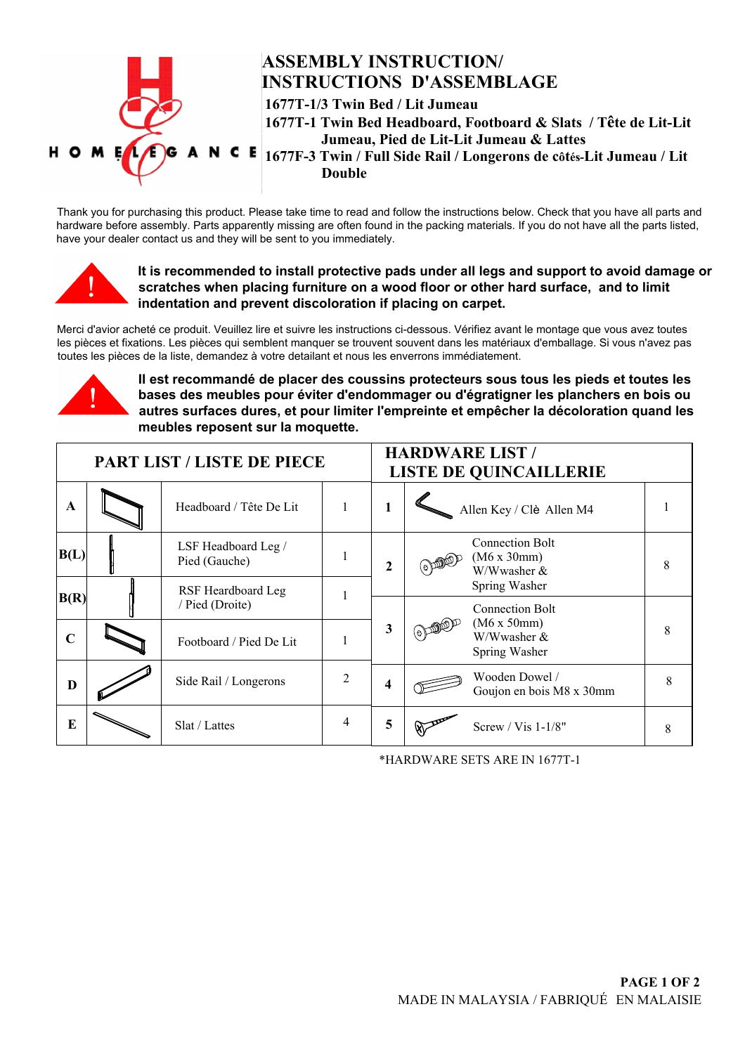

## **ASSEMBLY INSTRUCTION/ INSTRUCTIONS D'ASSEMBLAGE**

**1677T-1/3 Twin Bed / Lit Jumeau 1677T-1 Twin Bed Headboard, Footboard & Slats / Trte de Lit-Lit Jumeau, Pied de Lit-Lit Jumeau & Lattes 1677F-3 Twin / Full Side Rail / Longerons de c{tpVLit Jumeau / Lit Double**

Thank you for purchasing this product. Please take time to read and follow the instructions below. Check that you have all parts and hardware before assembly. Parts apparently missing are often found in the packing materials. If you do not have all the parts listed, have your dealer contact us and they will be sent to you immediately.



**It is recommended to install protective pads under all legs and support to avoid damage or scratches when placing furniture on a wood floor or other hard surface, and to limit indentation and prevent discoloration if placing on carpet.**

Merci d'avior acheté ce produit. Veuillez lire et suivre les instructions ci-dessous. Vérifiez avant le montage que vous avez toutes les pièces et fixations. Les pièces qui semblent manquer se trouvent souvent dans les matériaux d'emballage. Si vous n'avez pas toutes les pièces de la liste, demandez à votre detailant et nous les enverrons immédiatement.



Il est recommandé de placer des coussins protecteurs sous tous les pieds et toutes les bases des meubles pour éviter d'endommager ou d'égratigner les planchers en bois ou autres surfaces dures, et pour limiter l'empreinte et empêcher la décoloration quand les **meubles reposent sur la moquette.**

| <b>PART LIST / LISTE DE PIECE</b> |  |                                       |   | <b>HARDWARE LIST /</b><br><b>LISTE DE QUINCAILLERIE</b> |                                                      |   |
|-----------------------------------|--|---------------------------------------|---|---------------------------------------------------------|------------------------------------------------------|---|
| $\mathbf A$                       |  | Headboard / Tête De Lit               |   | 1                                                       | Allen Key / Clè Allen M4                             |   |
| B(L)                              |  | LSF Headboard Leg /<br>Pied (Gauche)  |   | $\mathbf{2}$                                            | <b>Connection Bolt</b><br>(M6 x 30mm)<br>W/Wwasher & | 8 |
| B(R)                              |  | RSF Heardboard Leg<br>/ Pied (Droite) |   |                                                         | Spring Washer<br><b>Connection Bolt</b>              |   |
| $\mathbf C$                       |  | Footboard / Pied De Lit               |   | 3                                                       | (M6 x 50mm)<br>W/Wwasher &<br>Spring Washer          | 8 |
| D                                 |  | Side Rail / Longerons                 | 2 | 4                                                       | Wooden Dowel /<br>Goujon en bois M8 x 30mm           | 8 |
| $\bf{E}$                          |  | Slat / Lattes                         | 4 | 5                                                       | Screw / $Vis 1-1/8"$                                 | 8 |

\*HARDWARE SETS ARE IN 1677T-1